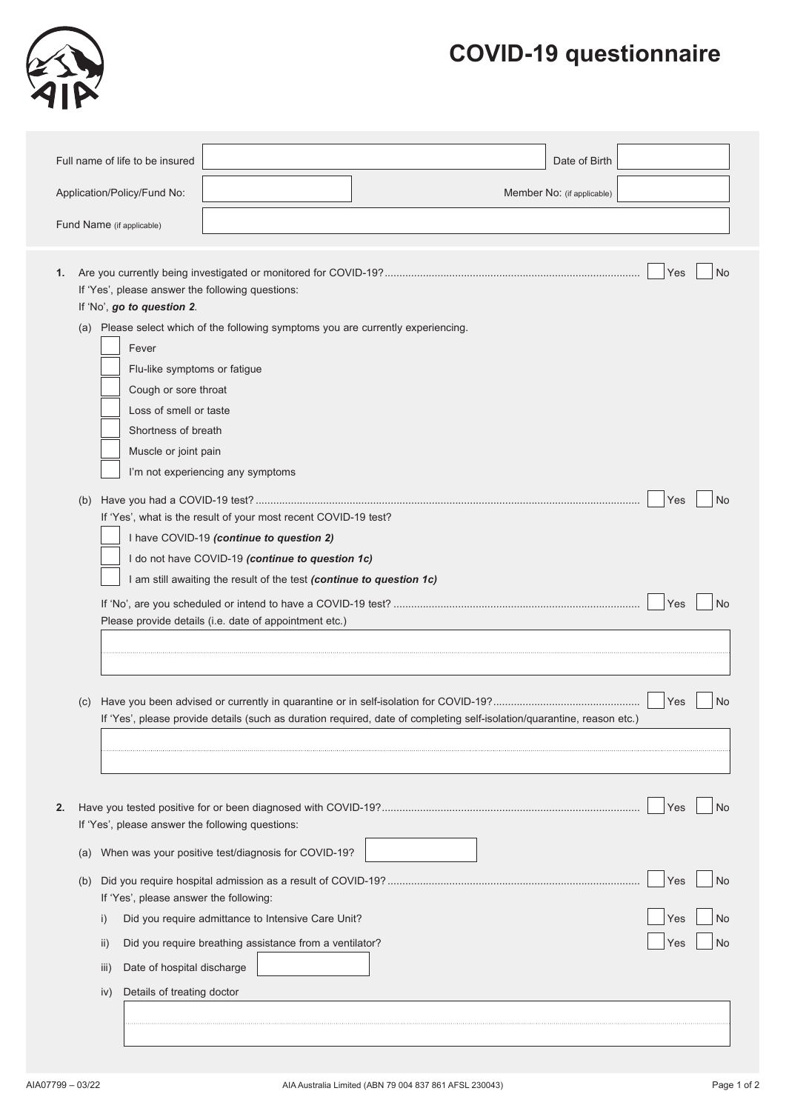## **COVID-19 questionnaire**



|                                                           | Full name of life to be insured<br>Date of Birth                                                                                                                                                                                                                                                                                                   |                        |  |  |  |  |
|-----------------------------------------------------------|----------------------------------------------------------------------------------------------------------------------------------------------------------------------------------------------------------------------------------------------------------------------------------------------------------------------------------------------------|------------------------|--|--|--|--|
| Application/Policy/Fund No:<br>Member No: (if applicable) |                                                                                                                                                                                                                                                                                                                                                    |                        |  |  |  |  |
|                                                           | Fund Name (if applicable)                                                                                                                                                                                                                                                                                                                          |                        |  |  |  |  |
|                                                           |                                                                                                                                                                                                                                                                                                                                                    |                        |  |  |  |  |
| 1.                                                        | If 'Yes', please answer the following questions:<br>If 'No', go to question 2.<br>(a) Please select which of the following symptoms you are currently experiencing.<br>Fever<br>Flu-like symptoms or fatigue<br>Cough or sore throat<br>Loss of smell or taste<br>Shortness of breath<br>Muscle or joint pain<br>I'm not experiencing any symptoms | Yes<br>No              |  |  |  |  |
|                                                           | If 'Yes', what is the result of your most recent COVID-19 test?<br>I have COVID-19 (continue to question 2)<br>I do not have COVID-19 (continue to question 1c)<br>I am still awaiting the result of the test (continue to question 1c)<br>Please provide details (i.e. date of appointment etc.)                                                  | Yes<br>No<br>Yes<br>No |  |  |  |  |
| (C)                                                       | If 'Yes', please provide details (such as duration required, date of completing self-isolation/quarantine, reason etc.)                                                                                                                                                                                                                            | Yes<br>No              |  |  |  |  |
| 2.                                                        | If 'Yes', please answer the following questions:                                                                                                                                                                                                                                                                                                   | Yes<br>No              |  |  |  |  |
| (a)                                                       | When was your positive test/diagnosis for COVID-19?                                                                                                                                                                                                                                                                                                |                        |  |  |  |  |
| (b)                                                       | If 'Yes', please answer the following:                                                                                                                                                                                                                                                                                                             | Yes<br>No              |  |  |  |  |
|                                                           | Did you require admittance to Intensive Care Unit?<br>Did you require breathing assistance from a ventilator?<br>ii)<br>Date of hospital discharge<br>$\overline{\mathsf{III}}$ )<br>Details of treating doctor<br>iv)                                                                                                                             | No<br>Yes<br>No<br>Yes |  |  |  |  |
|                                                           |                                                                                                                                                                                                                                                                                                                                                    |                        |  |  |  |  |